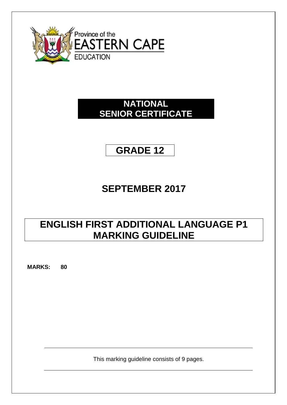

# **NATIONAL SENIOR CERTIFICATE**

# **GRADE 12**

# **SEPTEMBER 2017**

# **ENGLISH FIRST ADDITIONAL LANGUAGE P1 MARKING GUIDELINE**

**MARKS: 80**

This marking guideline consists of 9 pages.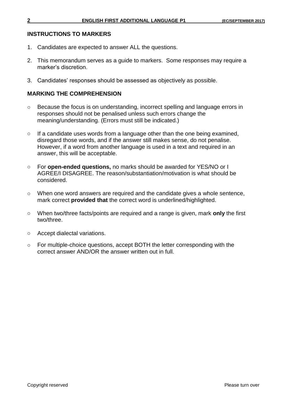## **INSTRUCTIONS TO MARKERS**

- 1. Candidates are expected to answer ALL the questions.
- 2. This memorandum serves as a guide to markers. Some responses may require a marker's discretion.
- 3. Candidates' responses should be assessed as objectively as possible.

# **MARKING THE COMPREHENSION**

- o Because the focus is on understanding, incorrect spelling and language errors in responses should not be penalised unless such errors change the meaning/understanding. (Errors must still be indicated.)
- $\circ$  If a candidate uses words from a language other than the one being examined, disregard those words, and if the answer still makes sense, do not penalise. However, if a word from another language is used in a text and required in an answer, this will be acceptable.
- o For **open-ended questions,** no marks should be awarded for YES/NO or I AGREE/I DISAGREE. The reason/substantiation/motivation is what should be considered.
- o When one word answers are required and the candidate gives a whole sentence, mark correct **provided that** the correct word is underlined/highlighted.
- o When two/three facts/points are required and a range is given, mark **only** the first two/three.
- o Accept dialectal variations.
- o For multiple-choice questions, accept BOTH the letter corresponding with the correct answer AND/OR the answer written out in full.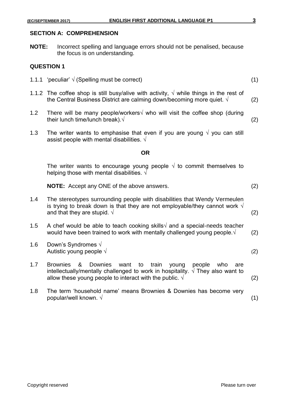#### **SECTION A: COMPREHENSION**

**NOTE:** Incorrect spelling and language errors should not be penalised, because the focus is on understanding.

#### **QUESTION 1**

- 1.1.1 'peculiar' √ (Spelling must be correct) (1)
- 1.1.2 The coffee shop is still busy/alive with activity,  $\sqrt{ }$  while things in the rest of the Central Business District are calming down/becoming more quiet.  $\sqrt{ }$  (2)
- 1.2 There will be many people/workers√ who will visit the coffee shop (during their lunch time/lunch break). $\sqrt{2}$
- 1.3 The writer wants to emphasise that even if you are young  $\sqrt{ }$  you can still assist people with mental disabilities.  $\sqrt{ }$

#### **OR**

The writer wants to encourage young people  $\sqrt{ }$  to commit themselves to helping those with mental disabilities.  $\sqrt{ }$ 

**NOTE:** Accept any ONE of the above answers. (2)

- 1.4 The stereotypes surrounding people with disabilities that Wendy Vermeulen is trying to break down is that they are not employable/they cannot work  $\sqrt{ }$ and that they are stupid.  $\sqrt{ }$  (2)
- 1.5 A chef would be able to teach cooking skills $\sqrt{ }$  and a special-needs teacher would have been trained to work with mentally challenged young people.  $\sqrt{(2)}$
- 1.6 Down's Syndromes √ Autistic young people  $\sqrt{2}$
- 1.7 Brownies & Downies want to train young people who are intellectually/mentally challenged to work in hospitality.  $\sqrt{\ }$  They also want to allow these young people to interact with the public.  $\sqrt{ }$  (2)
- 1.8 The term 'household name' means Brownies & Downies has become very popular/well known.  $\sqrt{ }$  (1)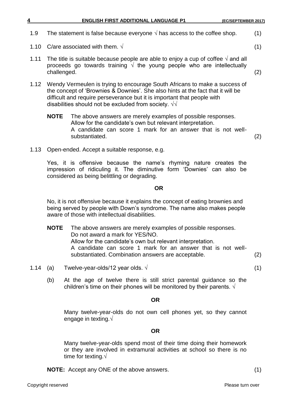|  |  | <b>ENGLISH FIRST ADDITIONAL LANGUAGE P1</b> | (EC/SEPTEMBER 2017) |
|--|--|---------------------------------------------|---------------------|
|--|--|---------------------------------------------|---------------------|

- 1.9 The statement is false because everyone  $\sqrt{ }$  has access to the coffee shop.  $(1)$
- 1.10 C/are associated with them.  $\sqrt{ }$  (1)
- 1.11 The title is suitable because people are able to enjoy a cup of coffee  $\sqrt{ }$  and all proceeds go towards training  $\sqrt{ }$  the young people who are intellectually challenged. (2)
- 1.12 Wendy Vermeulen is trying to encourage South Africans to make a success of the concept of 'Brownies & Downies'. She also hints at the fact that it will be difficult and require perseverance but it is important that people with disabilities should not be excluded from society.  $\sqrt{\sqrt{2}}$ 
	- **NOTE** The above answers are merely examples of possible responses. Allow for the candidate's own but relevant interpretation. A candidate can score 1 mark for an answer that is not wellsubstantiated. (2)
- 1.13 Open-ended. Accept a suitable response, e.g.

Yes, it is offensive because the name's rhyming nature creates the impression of ridiculing it. The diminutive form 'Downies' can also be considered as being belittling or degrading.

#### **OR**

No, it is not offensive because it explains the concept of eating brownies and being served by people with Down's syndrome. The name also makes people aware of those with intellectual disabilities.

- **NOTE** The above answers are merely examples of possible responses. Do not award a mark for YES/NO. Allow for the candidate's own but relevant interpretation. A candidate can score 1 mark for an answer that is not wellsubstantiated. Combination answers are acceptable. (2)
- 1.14 (a) Twelve-year-olds/12 year olds.  $\sqrt{ }$  (1)
	- (b) At the age of twelve there is still strict parental guidance so the children's time on their phones will be monitored by their parents.  $\sqrt{ }$

# **OR**

Many twelve-year-olds do not own cell phones yet, so they cannot engage in texting.√

# **OR**

Many twelve-year-olds spend most of their time doing their homework or they are involved in extramural activities at school so there is no time for texting.√

**NOTE:** Accept any ONE of the above answers. (1)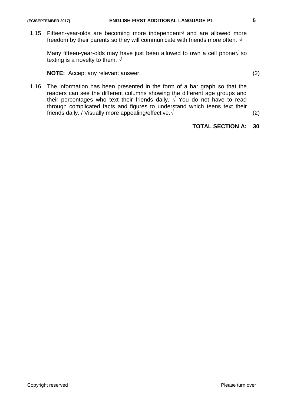1.15 Fifteen-year-olds are becoming more independent $\sqrt{ }$  and are allowed more freedom by their parents so they will communicate with friends more often.  $\sqrt{ }$ 

Many fifteen-year-olds may have just been allowed to own a cell phone $\sqrt{5}$  so texting is a novelty to them.  $\sqrt{ }$ 

**NOTE:** Accept any relevant answer. (2)

1.16 The information has been presented in the form of a bar graph so that the readers can see the different columns showing the different age groups and their percentages who text their friends daily.  $\sqrt{ }$  You do not have to read through complicated facts and figures to understand which teens text their friends daily. / Visually more appealing/effective. $\sqrt{2}$ 

# **TOTAL SECTION A: 30**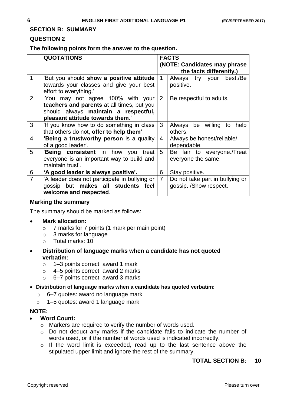#### **SECTION B: SUMMARY**

## **QUESTION 2**

**The following points form the answer to the question.**

|                | <b>QUOTATIONS</b>                                                                                                                                           | <b>FACTS</b><br>(NOTE: Candidates may phrase |                                           |  |  |
|----------------|-------------------------------------------------------------------------------------------------------------------------------------------------------------|----------------------------------------------|-------------------------------------------|--|--|
|                |                                                                                                                                                             |                                              | the facts differently.)                   |  |  |
| $\mathbf 1$    | 'But you should show a positive attitude<br>towards your classes and give your best<br>effort to everything.'                                               | $\mathbf 1$                                  | Always try your best./Be<br>positive.     |  |  |
| $\overline{2}$ | 'You may not agree 100% with your<br>teachers and parents at all times, but you<br>should always maintain a respectful,<br>pleasant attitude towards them.' | $\overline{2}$                               | Be respectful to adults.                  |  |  |
| 3              | 'If you know how to do something in class                                                                                                                   | 3                                            | be willing to<br>Always<br>help           |  |  |
|                | that others do not, offer to help them'.                                                                                                                    |                                              | others.                                   |  |  |
| $\overline{4}$ | 'Being a trustworthy person is a quality<br>of a good leader'.                                                                                              | 4                                            | Always be honest/reliable/<br>dependable. |  |  |
| 5              | 'Being consistent in how<br>treat  <br>you                                                                                                                  | 5                                            | Be fair to everyone./Treat                |  |  |
|                | everyone is an important way to build and<br>maintain trust'.                                                                                               |                                              | everyone the same.                        |  |  |
| 6              | 'A good leader is always positive'.                                                                                                                         | 6                                            | Stay positive.                            |  |  |
| $\overline{7}$ | 'A leader does not participate in bullying or                                                                                                               | $\overline{7}$                               | Do not take part in bullying or           |  |  |
|                | gossip but makes all students feel                                                                                                                          |                                              | gossip. /Show respect.                    |  |  |
|                | welcome and respected.                                                                                                                                      |                                              |                                           |  |  |

#### **Marking the summary**

The summary should be marked as follows:

- **Mark allocation:**
	- o 7 marks for 7 points (1 mark per main point)
	- o 3 marks for language
	- o Total marks: 10
- **Distribution of language marks when a candidate has not quoted verbatim:**
	- o 1–3 points correct: award 1 mark
	- o 4–5 points correct: award 2 marks
	- o 6–7 points correct: award 3 marks
- **Distribution of language marks when a candidate has quoted verbatim:**
	- o 6–7 quotes: award no language mark
	- o 1–5 quotes: award 1 language mark

#### **NOTE:**

- **Word Count:**
	- o Markers are required to verify the number of words used.
	- o Do not deduct any marks if the candidate fails to indicate the number of words used, or if the number of words used is indicated incorrectly.
	- o If the word limit is exceeded, read up to the last sentence above the stipulated upper limit and ignore the rest of the summary.

# **TOTAL SECTION B: 10**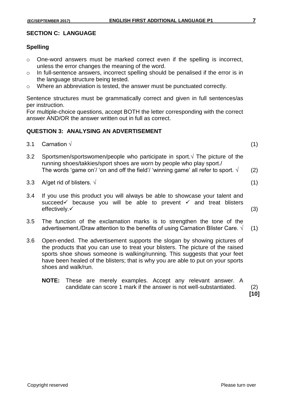# **SECTION C: LANGUAGE**

# **Spelling**

- o One-word answers must be marked correct even if the spelling is incorrect, unless the error changes the meaning of the word.
- o In full-sentence answers, incorrect spelling should be penalised if the error is in the language structure being tested.
- o Where an abbreviation is tested, the answer must be punctuated correctly.

Sentence structures must be grammatically correct and given in full sentences/as per instruction.

For multiple-choice questions, accept BOTH the letter corresponding with the correct answer AND/OR the answer written out in full as correct.

# **QUESTION 3: ANALYSING AN ADVERTISEMENT**

| 3.1 Carnation $\sqrt{ }$ |  |  | (1) |
|--------------------------|--|--|-----|
|                          |  |  |     |

- 3.2 Sportsmen/sportswomen/people who participate in sport. $\sqrt{ }$  The picture of the running shoes/takkies/sport shoes are worn by people who play sport./ The words 'game on'/ 'on and off the field'/ 'winning game' all refer to sport.  $\sqrt{(2)}$
- 3.3 A/get rid of blisters.  $\sqrt{ }$  (1)
- 3.4 If you use this product you will always be able to showcase your talent and succeed because you will be able to prevent  $\checkmark$  and treat blisters  $effectively.$  (3)
- 3.5 The function of the exclamation marks is to strengthen the tone of the advertisement./Draw attention to the benefits of using Carnation Blister Care.  $\sqrt{(1)}$
- 3.6 Open-ended. The advertisement supports the slogan by showing pictures of the products that you can use to treat your blisters. The picture of the raised sports shoe shows someone is walking/running. This suggests that your feet have been healed of the blisters; that is why you are able to put on your sports shoes and walk/run.
	- **NOTE:** These are merely examples. Accept any relevant answer. A candidate can score 1 mark if the answer is not well-substantiated. (2)

**[10]**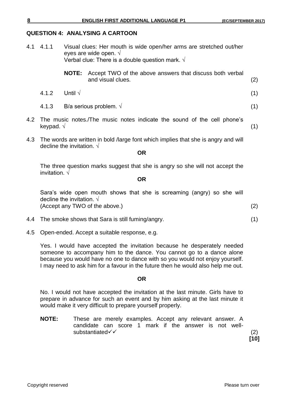# **QUESTION 4: ANALYSING A CARTOON**

| 4.1 | 4.1.1 | Visual clues: Her mouth is wide open/her arms are stretched out/her<br>eyes are wide open. $\sqrt{ }$<br>Verbal clue: There is a double question mark. $\sqrt{ }$ |                                                                                            |     |
|-----|-------|-------------------------------------------------------------------------------------------------------------------------------------------------------------------|--------------------------------------------------------------------------------------------|-----|
|     |       |                                                                                                                                                                   | <b>NOTE:</b> Accept TWO of the above answers that discuss both verbal<br>and visual clues. | (2) |
|     | 4.1.2 | Until $\sqrt$                                                                                                                                                     |                                                                                            | (1) |
|     | 4.1.3 | B/a serious problem. $\sqrt{ }$                                                                                                                                   |                                                                                            | (1) |
|     |       |                                                                                                                                                                   | 4.2 The music notes./The music notes indicate the sound of the cell phone's                |     |

4.3 The words are written in bold /large font which implies that she is angry and will decline the invitation. √

**OR**

keypad.  $\sqrt{ }$  (1)

The three question marks suggest that she is angry so she will not accept the invitation. √

**OR**

Sara's wide open mouth shows that she is screaming (angry) so she will decline the invitation.  $\sqrt{ }$ (Accept any TWO of the above.) (2)

- 4.4 The smoke shows that Sara is still fuming/angry. (1)
- 4.5 Open-ended. Accept a suitable response, e.g.

Yes. I would have accepted the invitation because he desperately needed someone to accompany him to the dance. You cannot go to a dance alone because you would have no one to dance with so you would not enjoy yourself. I may need to ask him for a favour in the future then he would also help me out.

#### **OR**

No. I would not have accepted the invitation at the last minute. Girls have to prepare in advance for such an event and by him asking at the last minute it would make it very difficult to prepare yourself properly.

**NOTE:** These are merely examples. Accept any relevant answer. A candidate can score 1 mark if the answer is not well $substantiated \checkmark$  (2)

**[10]**